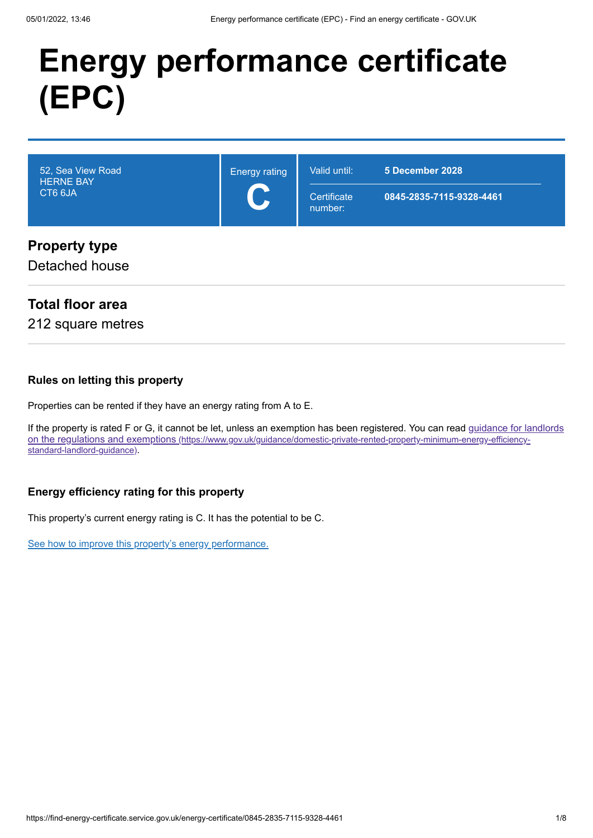# **Energy performance certificate (EPC)**

| 52, Sea View Road<br><b>HERNE BAY</b><br>CT6 6JA | <b>Energy rating</b><br>C | Valid until:<br>Certificate<br>number: | 5 December 2028<br>0845-2835-7115-9328-4461 |
|--------------------------------------------------|---------------------------|----------------------------------------|---------------------------------------------|
| <b>Property type</b><br>Detached house           |                           |                                        |                                             |

# **Total floor area**

212 square metres

#### **Rules on letting this property**

Properties can be rented if they have an energy rating from A to E.

[If the property is rated F or G, it cannot be let, unless an exemption has been registered. You can read guidance for landlords](https://www.gov.uk/guidance/domestic-private-rented-property-minimum-energy-efficiency-standard-landlord-guidance) on the regulations and exemptions (https://www.gov.uk/guidance/domestic-private-rented-property-minimum-energy-efficiencystandard-landlord-guidance).

#### **Energy efficiency rating for this property**

This property's current energy rating is C. It has the potential to be C.

[See how to improve this property's energy performance.](#page-4-0)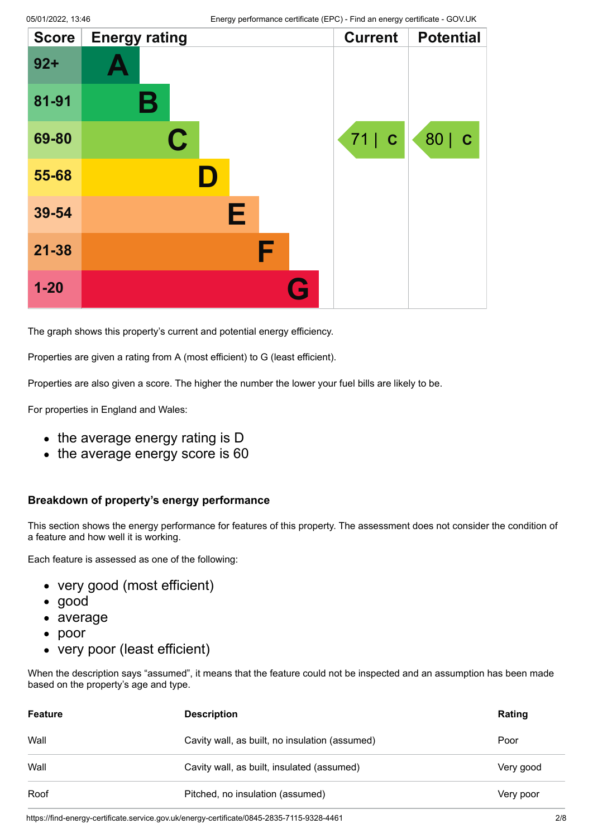| <b>Score</b> | <b>Energy rating</b> |   | <b>Current</b> | <b>Potential</b> |
|--------------|----------------------|---|----------------|------------------|
| $92 +$       |                      |   |                |                  |
| 81-91        | Β                    |   |                |                  |
| 69-80        | $\mathbf C$          |   | 71   C         | 80   C           |
| 55-68        | ID.                  |   |                |                  |
| 39-54        | Е                    |   |                |                  |
| $21 - 38$    |                      | F |                |                  |
| $1 - 20$     |                      |   |                |                  |

The graph shows this property's current and potential energy efficiency.

Properties are given a rating from A (most efficient) to G (least efficient).

Properties are also given a score. The higher the number the lower your fuel bills are likely to be.

For properties in England and Wales:

- the average energy rating is D
- the average energy score is 60

#### **Breakdown of property's energy performance**

This section shows the energy performance for features of this property. The assessment does not consider the condition of a feature and how well it is working.

Each feature is assessed as one of the following:

- very good (most efficient)
- good
- average
- poor
- very poor (least efficient)

When the description says "assumed", it means that the feature could not be inspected and an assumption has been made based on the property's age and type.

| <b>Feature</b> | <b>Description</b>                             | Rating    |
|----------------|------------------------------------------------|-----------|
| Wall           | Cavity wall, as built, no insulation (assumed) | Poor      |
| Wall           | Cavity wall, as built, insulated (assumed)     | Very good |
| Roof           | Pitched, no insulation (assumed)               | Very poor |

https://find-energy-certificate.service.gov.uk/energy-certificate/0845-2835-7115-9328-4461 2/8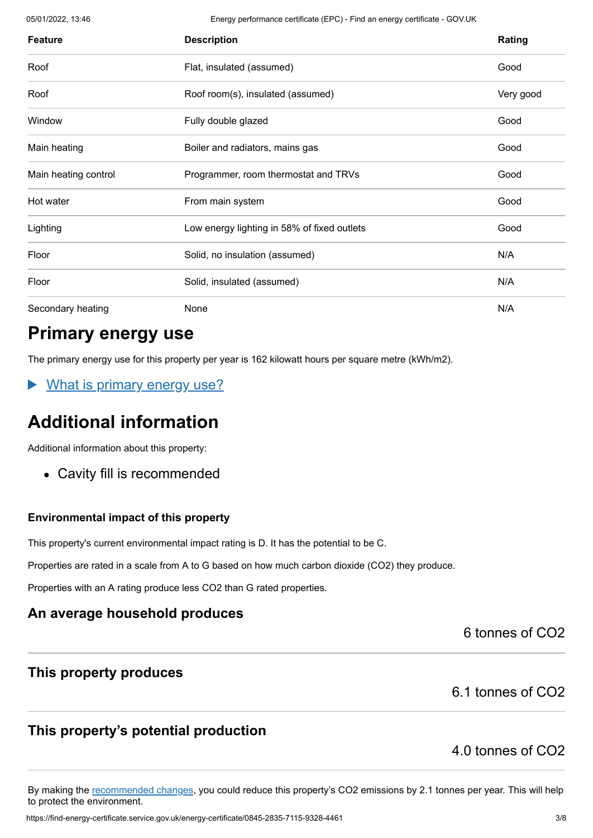05/01/2022, 13:46 Energy performance certificate (EPC) - Find an energy certificate - GOV.UK

| <b>Feature</b>       | <b>Description</b>                          | Rating    |
|----------------------|---------------------------------------------|-----------|
| Roof                 | Flat, insulated (assumed)                   | Good      |
| Roof                 | Roof room(s), insulated (assumed)           | Very good |
| Window               | Fully double glazed                         | Good      |
| Main heating         | Boiler and radiators, mains gas             | Good      |
| Main heating control | Programmer, room thermostat and TRVs        | Good      |
| Hot water            | From main system                            | Good      |
| Lighting             | Low energy lighting in 58% of fixed outlets | Good      |
| Floor                | Solid, no insulation (assumed)              | N/A       |
| Floor                | Solid, insulated (assumed)                  | N/A       |
| Secondary heating    | None                                        | N/A       |

# **Primary energy use**

The primary energy use for this property per year is 162 kilowatt hours per square metre (kWh/m2).

What is primary energy use?

# **Additional information**

Additional information about this property:

Cavity fill is recommended

#### **Environmental impact of this property**

This property's current environmental impact rating is D. It has the potential to be C.

Properties are rated in a scale from A to G based on how much carbon dioxide (CO2) they produce.

Properties with an A rating produce less CO2 than G rated properties.

# **An average household produces**

6 tonnes of CO2

## **This property produces**

6.1 tonnes of CO2

# **This property's potential production**

# 4.0 tonnes of CO2

By making the [recommended changes](#page-4-0), you could reduce this property's CO2 emissions by 2.1 tonnes per year. This will help to protect the environment.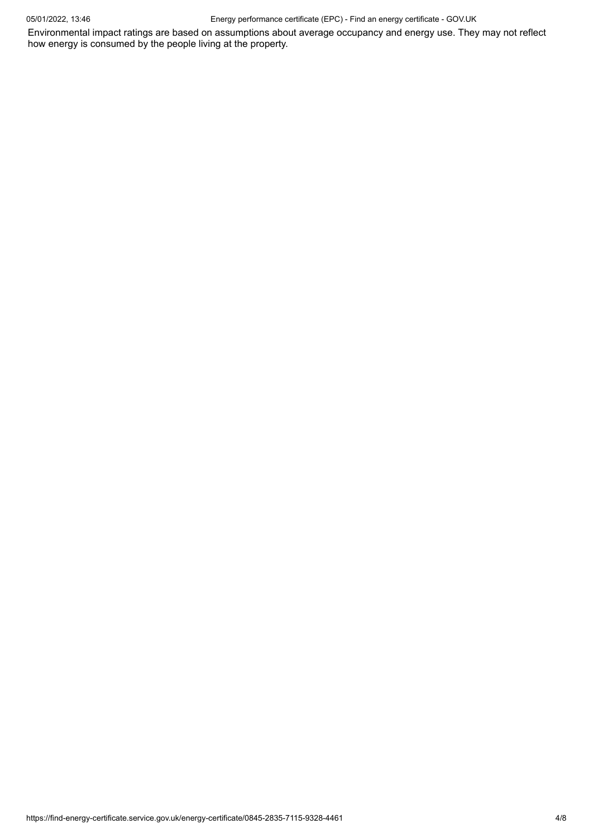05/01/2022, 13:46 Energy performance certificate (EPC) - Find an energy certificate - GOV.UK

Environmental impact ratings are based on assumptions about average occupancy and energy use. They may not reflect how energy is consumed by the people living at the property.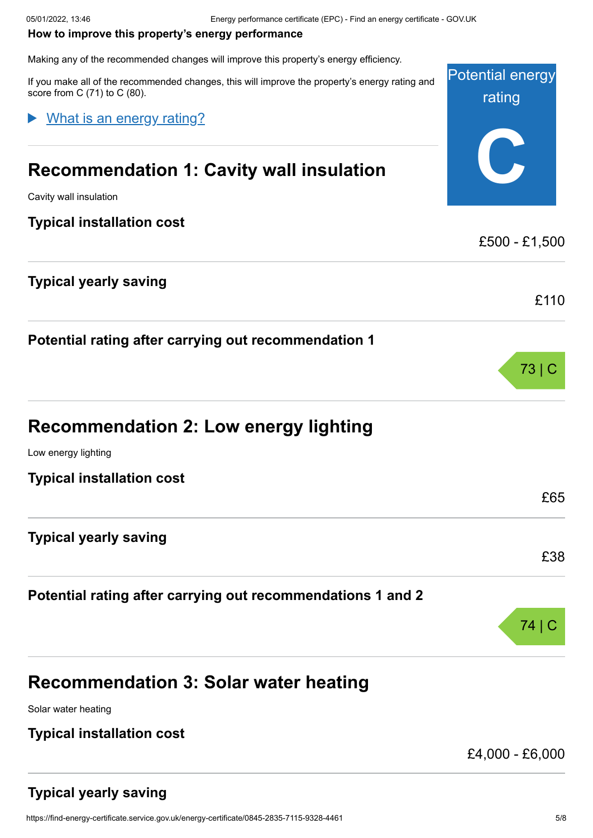#### <span id="page-4-0"></span>**How to improve this property's energy performance**

Making any of the recommended changes will improve this property's energy efficiency.

If you make all of the recommended changes, this will improve the property's energy rating and score from C (71) to C (80).

What is an energy rating?

# **Recommendation 1: Cavity wall insulation**

Cavity wall insulation

#### **Typical installation cost**

# **Typical yearly saving**

**Potential rating after carrying out recommendation 1**

| <b>Recommendation 2: Low energy lighting</b> |  |
|----------------------------------------------|--|
|----------------------------------------------|--|

Low energy lighting

**Typical installation cost**

**Typical yearly saving**

#### **Potential rating after carrying out recommendations 1 and 2**

|  | <b>Recommendation 3: Solar water heating</b> |
|--|----------------------------------------------|
|  |                                              |

Solar water heating

## **Typical installation cost**

£4,000 - £6,000

# **Typical yearly saving**

| <b>Potential energy</b><br>rating |  |
|-----------------------------------|--|
|                                   |  |
| £500 - £1,500                     |  |

£110

73 | C

£65

£38

74 | C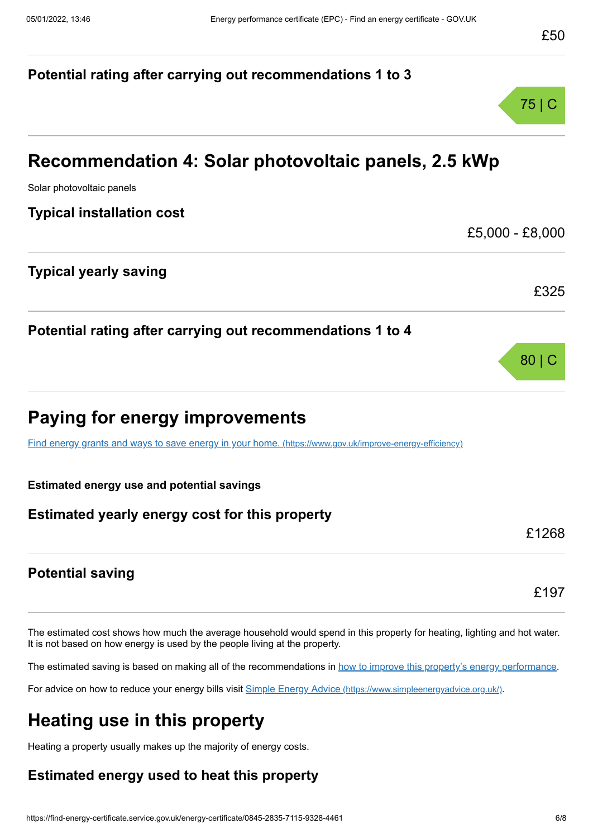# **Potential rating after carrying out recommendations 1 to 3** 75 | C **Recommendation 4: Solar photovoltaic panels, 2.5 kWp** Solar photovoltaic panels **Typical installation cost** £5,000 - £8,000 **Typical yearly saving** £325 **Potential rating after carrying out recommendations 1 to 4** 80 | C **Paying for energy improvements** [Find energy grants and ways to save energy in your home.](https://www.gov.uk/improve-energy-efficiency) (https://www.gov.uk/improve-energy-efficiency) **Estimated energy use and potential savings Estimated yearly energy cost for this property** £1268 **Potential saving** £197

The estimated cost shows how much the average household would spend in this property for heating, lighting and hot water. It is not based on how energy is used by the people living at the property.

The estimated saving is based on making all of the recommendations in [how to improve this property's energy performance.](#page-4-0)

For advice on how to reduce your energy bills visit Simple Energy Advice [\(https://www.simpleenergyadvice.org.uk/\)](https://www.simpleenergyadvice.org.uk/).

# **Heating use in this property**

Heating a property usually makes up the majority of energy costs.

# **Estimated energy used to heat this property**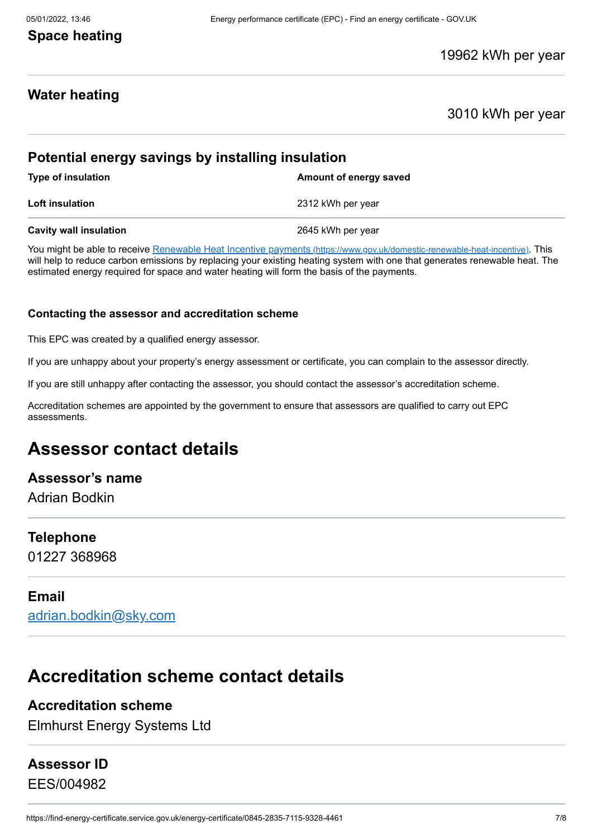# **Space heating**

#### 19962 kWh per year

## **Water heating**

#### 3010 kWh per year

## **Potential energy savings by installing insulation**

| <b>Type of insulation</b>     | Amount of energy saved |
|-------------------------------|------------------------|
| Loft insulation               | 2312 kWh per year      |
| <b>Cavity wall insulation</b> | 2645 kWh per year      |

You might be able to receive Renewable Heat Incentive payments [\(https://www.gov.uk/domestic-renewable-heat-incentive\)](https://www.gov.uk/domestic-renewable-heat-incentive). This will help to reduce carbon emissions by replacing your existing heating system with one that generates renewable heat. The estimated energy required for space and water heating will form the basis of the payments.

#### **Contacting the assessor and accreditation scheme**

This EPC was created by a qualified energy assessor.

If you are unhappy about your property's energy assessment or certificate, you can complain to the assessor directly.

If you are still unhappy after contacting the assessor, you should contact the assessor's accreditation scheme.

Accreditation schemes are appointed by the government to ensure that assessors are qualified to carry out EPC assessments.

# **Assessor contact details**

#### **Assessor's name**

Adrian Bodkin

#### **Telephone**

01227 368968

#### **Email**

[adrian.bodkin@sky.com](mailto:adrian.bodkin@sky.com)

# **Accreditation scheme contact details**

#### **Accreditation scheme**

Elmhurst Energy Systems Ltd

## **Assessor ID**

EES/004982